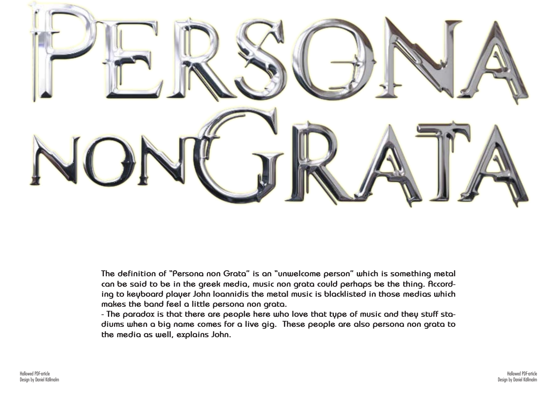Hallowed PDF-article Design by Daniel Källmalm



**The definition of "Persona non Grata" is an "unwelcome person" which is something metal can be said to be in the greek media, music non grata could perhaps be the thing. According to keyboard player John Ioannidis the metal music is blacklisted in those medias which makes the band feel a little persona non grata.**

**- The paradox is that there are people here who love that type of music and they stuff stadiums when a big name comes for a live gig. These people are also persona non grata to the media as well, explains John.**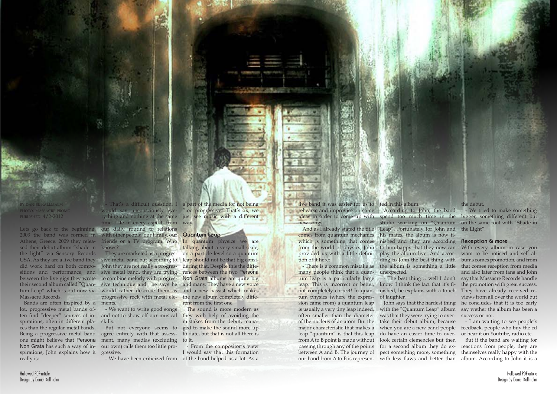by daniel källmalm photo: massacre promo published: 4/2-2012

sed their debut album "shade in knows? the light" via Sensory Records Massacre Records.

USA. As they are a live band they sive metal band but according to leap should not be that big considid work hard on both compo-John they are not really a progressitions and performance, and sive metal band, they are trying rences between the two Persona between the live gigs they wrote to combine melody with progrestheir second album called "Quan- sive technique and he says he and many. They have a new voice tum Leap" which is out now via would rather describe them as and a new bassist which makes They are marketed as a progresprogressive rock with metal ele- the new album completely diffements.

Bands are often inspired by a lot, progressive metal bands often find "deeper" sources of in-and not to show off our musical spirations, often in different places than the regular metal bands. one might believe that Persona Non Grata has such a way of inspirations, John explains how it gressive. really is:

Being a progressive metal band agree entirely with that assess- to date, but that is not all there is ment, many medias (excluding to it. our own) calls them too little pro-

Lets go back to the beginning, our daily routine to relations 2003 the band was formed in with other people, our family, our Athens, Greece. 2009 they relea-friends or a TV program. Who - That's a difficult question. I a part of the media for not being would say unconsciously eve- "too progressive" That's ok, we rything and nothing at the same just see music with a different time. Life in every aspect, from way.

In quantum physics we are talking about a very small scale, on a particle level so a quantum dering that. Despite this the diffe-Non Grata albums are quite big rent from the first one.

But not everyone seems to ged to make the sound more up The sound is more modern as they with help of avoiding the mistakes from the debut, manalive band it was easier for us to ted in this album. rehearse and improvise on some According to John, the band ideas in order to come up with spend too much time in the new songs.

- We want to write good songs skills.

And as I already stated the title Leap". Fortunately for John and the Light". which is something that comes nished and they are according **Reception & more** his mates, the album is now fi-

## **Quantum Leap**

- We have been criticized from of the band helped us a lot. As a - From the compositor's view I would say that this formation

many people think that a quan- unexpected. tum leap is a particularly large tum physics (where the expres-of laughter. sion came from) a quantum leap is usually a very tiny leap indeed, with the "Quantum Leap" album often smaller than the diameter was that they were trying to over-success or not. of the nucleus of an atom. But the major characteristic that makes a leap "quantum" is that this leap do have an easier time to over-or hear it on Youtube, radio etc. from A to B point is made without look certain clemencies but then passing through any of the points for a second album they do ex-

from the world of physics, John to him happy that they now can With every album in case you - There is a common mistake as the album is something a little that comes reception from media play the album live. And accor-want to be noticed and sell alding to John the best thing with bums comes promotion, and from and also later from fans and John say that Massacre Records handle the promotion with great success. views from all over the world but he concludes that it is too early say wether the album has been a

between A and B. The journey of pect something more, something themselves really happy with the our band from A to B is represen-with less flaws and better than album. According to John it is a But if the band are waiting for reactions from people, they are

comes from quantum mechanics provided us with a little definition of it here:

leap. This is incorrect or better, know. I think the fact that it's finot completely correct! In quan- nished, he explains with a touch They have already received re-- The best thing… well I don't

studio working on "Quantum on the same root with "Shade in - We tried to make something bigger, something different but

John says that the hardest thing take their debut album, because

the debut.

when you are a new band people feedback, people who buy the cd - I am waiting to see people's